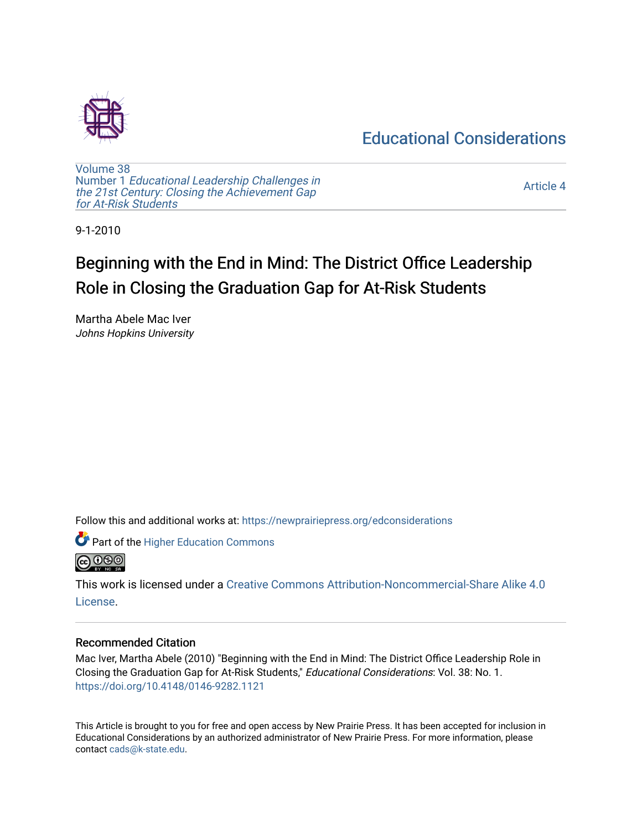# [Educational Considerations](https://newprairiepress.org/edconsiderations)



[Volume 38](https://newprairiepress.org/edconsiderations/vol38) Number 1 [Educational Leadership Challenges in](https://newprairiepress.org/edconsiderations/vol38/iss1) [the 21st Century: Closing the Achievement Gap](https://newprairiepress.org/edconsiderations/vol38/iss1) [for At-Risk Students](https://newprairiepress.org/edconsiderations/vol38/iss1)

[Article 4](https://newprairiepress.org/edconsiderations/vol38/iss1/4) 

9-1-2010

# Beginning with the End in Mind: The District Office Leadership Role in Closing the Graduation Gap for At-Risk Students

Martha Abele Mac Iver Johns Hopkins University

Follow this and additional works at: [https://newprairiepress.org/edconsiderations](https://newprairiepress.org/edconsiderations?utm_source=newprairiepress.org%2Fedconsiderations%2Fvol38%2Fiss1%2F4&utm_medium=PDF&utm_campaign=PDFCoverPages) 



This work is licensed under a [Creative Commons Attribution-Noncommercial-Share Alike 4.0](https://creativecommons.org/licenses/by-nc-sa/4.0/) [License.](https://creativecommons.org/licenses/by-nc-sa/4.0/)

# Recommended Citation

Mac Iver, Martha Abele (2010) "Beginning with the End in Mind: The District Office Leadership Role in Closing the Graduation Gap for At-Risk Students," Educational Considerations: Vol. 38: No. 1. <https://doi.org/10.4148/0146-9282.1121>

This Article is brought to you for free and open access by New Prairie Press. It has been accepted for inclusion in Educational Considerations by an authorized administrator of New Prairie Press. For more information, please contact [cads@k-state.edu](mailto:cads@k-state.edu).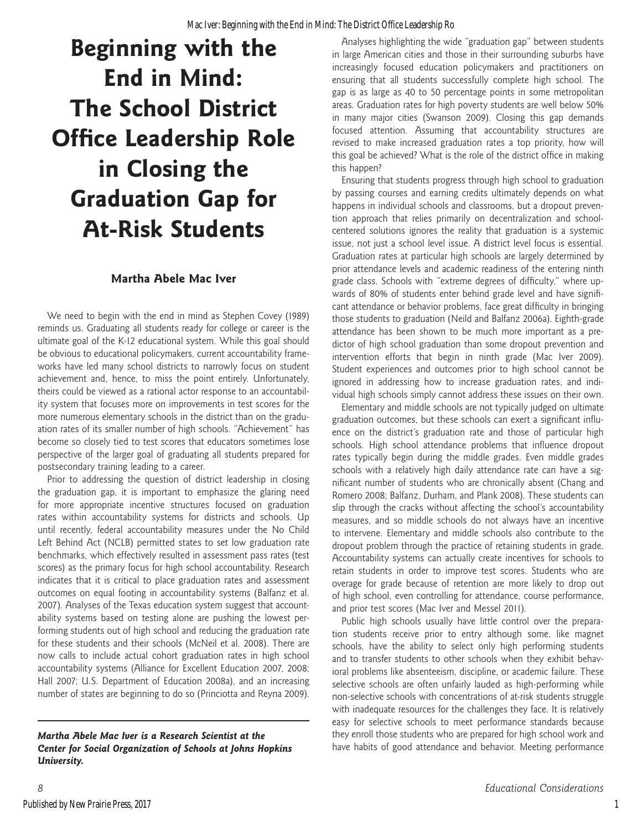# **Beginning with the End in Mind: The School District Office Leadership Role in Closing the Graduation Gap for At-Risk Students**

# **Martha Abele Mac Iver**

We need to begin with the end in mind as Stephen Covey (1989) reminds us. Graduating all students ready for college or career is the ultimate goal of the K-12 educational system. While this goal should be obvious to educational policymakers, current accountability frameworks have led many school districts to narrowly focus on student achievement and, hence, to miss the point entirely. Unfortunately, theirs could be viewed as a rational actor response to an accountability system that focuses more on improvements in test scores for the more numerous elementary schools in the district than on the graduation rates of its smaller number of high schools. "Achievement" has become so closely tied to test scores that educators sometimes lose perspective of the larger goal of graduating all students prepared for postsecondary training leading to a career.

Prior to addressing the question of district leadership in closing the graduation gap, it is important to emphasize the glaring need for more appropriate incentive structures focused on graduation rates within accountability systems for districts and schools. Up until recently, federal accountability measures under the No Child Left Behind Act (NCLB) permitted states to set low graduation rate benchmarks, which effectively resulted in assessment pass rates (test scores) as the primary focus for high school accountability. Research indicates that it is critical to place graduation rates and assessment outcomes on equal footing in accountability systems (Balfanz et al. 2007). Analyses of the Texas education system suggest that accountability systems based on testing alone are pushing the lowest performing students out of high school and reducing the graduation rate for these students and their schools (McNeil et al. 2008). There are now calls to include actual cohort graduation rates in high school accountability systems (Alliance for Excellent Education 2007, 2008; Hall 2007; U.S. Department of Education 2008a), and an increasing number of states are beginning to do so (Princiotta and Reyna 2009).

*Martha Abele Mac Iver is a Research Scientist at the Center for Social Organization of Schools at Johns Hopkins University.*

Analyses highlighting the wide "graduation gap" between students in large American cities and those in their surrounding suburbs have increasingly focused education policymakers and practitioners on ensuring that all students successfully complete high school. The gap is as large as 40 to 50 percentage points in some metropolitan areas. Graduation rates for high poverty students are well below 50% in many major cities (Swanson 2009). Closing this gap demands focused attention. Assuming that accountability structures are revised to make increased graduation rates a top priority, how will this goal be achieved? What is the role of the district office in making this happen?

Ensuring that students progress through high school to graduation by passing courses and earning credits ultimately depends on what happens in individual schools and classrooms, but a dropout prevention approach that relies primarily on decentralization and schoolcentered solutions ignores the reality that graduation is a systemic issue, not just a school level issue. A district level focus is essential. Graduation rates at particular high schools are largely determined by prior attendance levels and academic readiness of the entering ninth grade class. Schools with "extreme degrees of difficulty," where upwards of 80% of students enter behind grade level and have significant attendance or behavior problems, face great difficulty in bringing those students to graduation (Neild and Balfanz 2006a). Eighth-grade attendance has been shown to be much more important as a predictor of high school graduation than some dropout prevention and intervention efforts that begin in ninth grade (Mac Iver 2009). Student experiences and outcomes prior to high school cannot be ignored in addressing how to increase graduation rates, and individual high schools simply cannot address these issues on their own.

Elementary and middle schools are not typically judged on ultimate graduation outcomes, but these schools can exert a significant influence on the district's graduation rate and those of particular high schools. High school attendance problems that influence dropout rates typically begin during the middle grades. Even middle grades schools with a relatively high daily attendance rate can have a significant number of students who are chronically absent (Chang and Romero 2008; Balfanz, Durham, and Plank 2008). These students can slip through the cracks without affecting the school's accountability measures, and so middle schools do not always have an incentive to intervene. Elementary and middle schools also contribute to the dropout problem through the practice of retaining students in grade. Accountability systems can actually create incentives for schools to retain students in order to improve test scores. Students who are overage for grade because of retention are more likely to drop out of high school, even controlling for attendance, course performance, and prior test scores (Mac Iver and Messel 2011).

Public high schools usually have little control over the preparation students receive prior to entry although some, like magnet schools, have the ability to select only high performing students and to transfer students to other schools when they exhibit behavioral problems like absenteeism, discipline, or academic failure. These selective schools are often unfairly lauded as high-performing while non-selective schools with concentrations of at-risk students struggle with inadequate resources for the challenges they face. It is relatively easy for selective schools to meet performance standards because they enroll those students who are prepared for high school work and have habits of good attendance and behavior. Meeting performance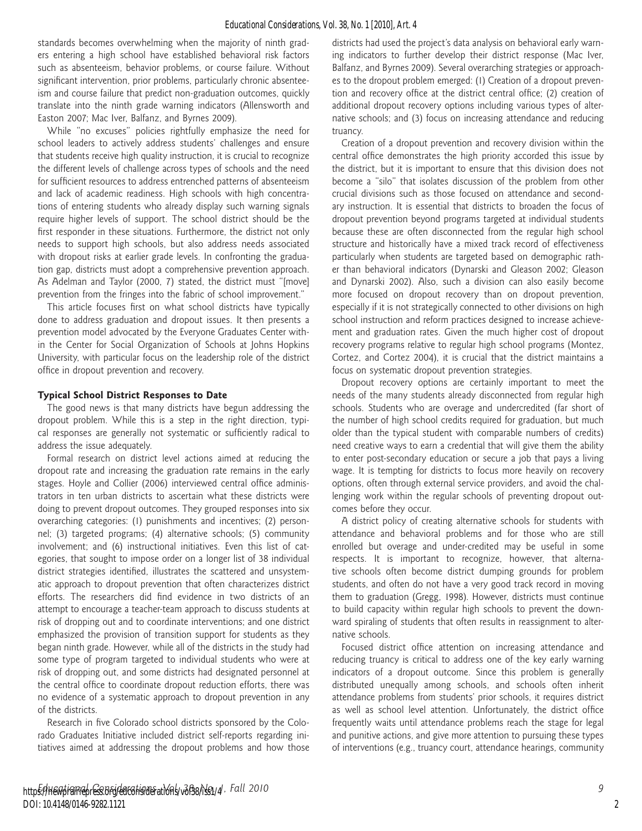standards becomes overwhelming when the majority of ninth graders entering a high school have established behavioral risk factors such as absenteeism, behavior problems, or course failure. Without significant intervention, prior problems, particularly chronic absenteeism and course failure that predict non-graduation outcomes, quickly translate into the ninth grade warning indicators (Allensworth and Easton 2007; Mac Iver, Balfanz, and Byrnes 2009).

While "no excuses" policies rightfully emphasize the need for school leaders to actively address students' challenges and ensure that students receive high quality instruction, it is crucial to recognize the different levels of challenge across types of schools and the need for sufficient resources to address entrenched patterns of absenteeism and lack of academic readiness. High schools with high concentrations of entering students who already display such warning signals require higher levels of support. The school district should be the first responder in these situations. Furthermore, the district not only needs to support high schools, but also address needs associated with dropout risks at earlier grade levels. In confronting the graduation gap, districts must adopt a comprehensive prevention approach. As Adelman and Taylor (2000, 7) stated, the district must "[move] prevention from the fringes into the fabric of school improvement."

This article focuses first on what school districts have typically done to address graduation and dropout issues. It then presents a prevention model advocated by the Everyone Graduates Center within the Center for Social Organization of Schools at Johns Hopkins University, with particular focus on the leadership role of the district office in dropout prevention and recovery.

# **Typical School District Responses to Date**

The good news is that many districts have begun addressing the dropout problem. While this is a step in the right direction, typical responses are generally not systematic or sufficiently radical to address the issue adequately.

Formal research on district level actions aimed at reducing the dropout rate and increasing the graduation rate remains in the early stages. Hoyle and Collier (2006) interviewed central office administrators in ten urban districts to ascertain what these districts were doing to prevent dropout outcomes. They grouped responses into six overarching categories: (1) punishments and incentives; (2) personnel; (3) targeted programs; (4) alternative schools; (5) community involvement; and (6) instructional initiatives. Even this list of categories, that sought to impose order on a longer list of 38 individual district strategies identified, illustrates the scattered and unsystematic approach to dropout prevention that often characterizes district efforts. The researchers did find evidence in two districts of an attempt to encourage a teacher-team approach to discuss students at risk of dropping out and to coordinate interventions; and one district emphasized the provision of transition support for students as they began ninth grade. However, while all of the districts in the study had some type of program targeted to individual students who were at risk of dropping out, and some districts had designated personnel at the central office to coordinate dropout reduction efforts, there was no evidence of a systematic approach to dropout prevention in any of the districts.

Research in five Colorado school districts sponsored by the Colorado Graduates Initiative included district self-reports regarding initiatives aimed at addressing the dropout problems and how those districts had used the project's data analysis on behavioral early warning indicators to further develop their district response (Mac Iver, Balfanz, and Byrnes 2009). Several overarching strategies or approaches to the dropout problem emerged: (1) Creation of a dropout prevention and recovery office at the district central office; (2) creation of additional dropout recovery options including various types of alternative schools; and (3) focus on increasing attendance and reducing truancy.

Creation of a dropout prevention and recovery division within the central office demonstrates the high priority accorded this issue by the district, but it is important to ensure that this division does not become a "silo" that isolates discussion of the problem from other crucial divisions such as those focused on attendance and secondary instruction. It is essential that districts to broaden the focus of dropout prevention beyond programs targeted at individual students because these are often disconnected from the regular high school structure and historically have a mixed track record of effectiveness particularly when students are targeted based on demographic rather than behavioral indicators (Dynarski and Gleason 2002; Gleason and Dynarski 2002). Also, such a division can also easily become more focused on dropout recovery than on dropout prevention, especially if it is not strategically connected to other divisions on high school instruction and reform practices designed to increase achievement and graduation rates. Given the much higher cost of dropout recovery programs relative to regular high school programs (Montez, Cortez, and Cortez 2004), it is crucial that the district maintains a focus on systematic dropout prevention strategies.

Dropout recovery options are certainly important to meet the needs of the many students already disconnected from regular high schools. Students who are overage and undercredited (far short of the number of high school credits required for graduation, but much older than the typical student with comparable numbers of credits) need creative ways to earn a credential that will give them the ability to enter post-secondary education or secure a job that pays a living wage. It is tempting for districts to focus more heavily on recovery options, often through external service providers, and avoid the challenging work within the regular schools of preventing dropout outcomes before they occur.

A district policy of creating alternative schools for students with attendance and behavioral problems and for those who are still enrolled but overage and under-credited may be useful in some respects. It is important to recognize, however, that alternative schools often become district dumping grounds for problem students, and often do not have a very good track record in moving them to graduation (Gregg, 1998). However, districts must continue to build capacity within regular high schools to prevent the downward spiraling of students that often results in reassignment to alternative schools.

Focused district office attention on increasing attendance and reducing truancy is critical to address one of the key early warning indicators of a dropout outcome. Since this problem is generally distributed unequally among schools, and schools often inherit attendance problems from students' prior schools, it requires district as well as school level attention. Unfortunately, the district office frequently waits until attendance problems reach the stage for legal and punitive actions, and give more attention to pursuing these types of interventions (e.g., truancy court, attendance hearings, community

2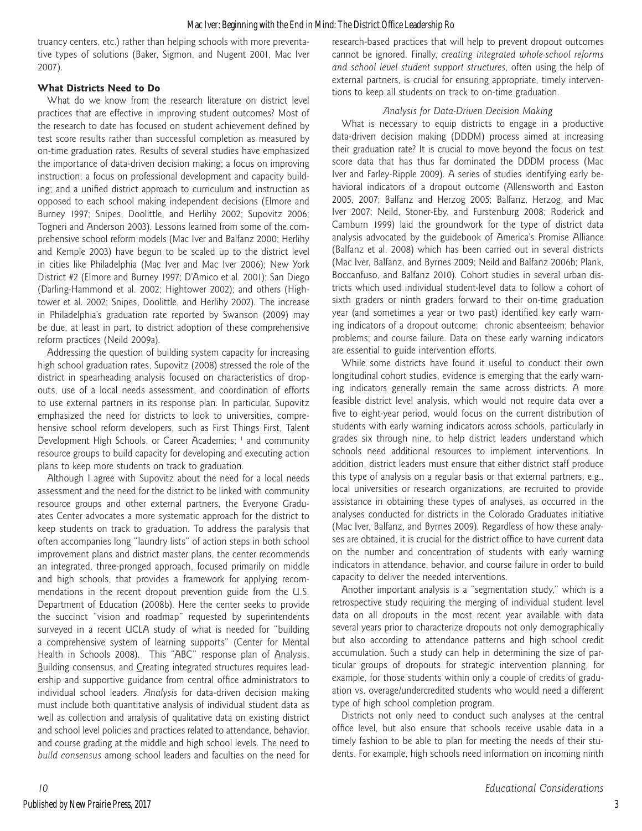truancy centers, etc.) rather than helping schools with more preventative types of solutions (Baker, Sigmon, and Nugent 2001, Mac Iver 2007).

# **What Districts Need to Do**

What do we know from the research literature on district level practices that are effective in improving student outcomes? Most of the research to date has focused on student achievement defined by test score results rather than successful completion as measured by on-time graduation rates. Results of several studies have emphasized the importance of data-driven decision making; a focus on improving instruction; a focus on professional development and capacity building; and a unified district approach to curriculum and instruction as opposed to each school making independent decisions (Elmore and Burney 1997; Snipes, Doolittle, and Herlihy 2002; Supovitz 2006; Togneri and Anderson 2003). Lessons learned from some of the comprehensive school reform models (Mac Iver and Balfanz 2000; Herlihy and Kemple 2003) have begun to be scaled up to the district level in cities like Philadelphia (Mac Iver and Mac Iver 2006); New York District #2 (Elmore and Burney 1997; D'Amico et al. 2001); San Diego (Darling-Hammond et al. 2002; Hightower 2002); and others (Hightower et al. 2002; Snipes, Doolittle, and Herlihy 2002). The increase in Philadelphia's graduation rate reported by Swanson (2009) may be due, at least in part, to district adoption of these comprehensive reform practices (Neild 2009a).

Addressing the question of building system capacity for increasing high school graduation rates, Supovitz (2008) stressed the role of the district in spearheading analysis focused on characteristics of dropouts, use of a local needs assessment, and coordination of efforts to use external partners in its response plan. In particular, Supovitz emphasized the need for districts to look to universities, comprehensive school reform developers, such as First Things First, Talent Development High Schools, or Career Academies; <sup>1</sup> and community resource groups to build capacity for developing and executing action plans to keep more students on track to graduation.

Although I agree with Supovitz about the need for a local needs assessment and the need for the district to be linked with community resource groups and other external partners, the Everyone Graduates Center advocates a more systematic approach for the district to keep students on track to graduation. To address the paralysis that often accompanies long "laundry lists" of action steps in both school improvement plans and district master plans, the center recommends an integrated, three-pronged approach, focused primarily on middle and high schools, that provides a framework for applying recommendations in the recent dropout prevention guide from the U.S. Department of Education (2008b). Here the center seeks to provide the succinct "vision and roadmap" requested by superintendents surveyed in a recent UCLA study of what is needed for "building a comprehensive system of learning supports" (Center for Mental Health in Schools 2008). This "ABC" response plan of Analysis, Building consensus, and Creating integrated structures requires leadership and supportive guidance from central office administrators to individual school leaders. *Analysis* for data-driven decision making must include both quantitative analysis of individual student data as well as collection and analysis of qualitative data on existing district and school level policies and practices related to attendance, behavior, and course grading at the middle and high school levels. The need to *build consensus* among school leaders and faculties on the need for research-based practices that will help to prevent dropout outcomes cannot be ignored. Finally, *creating integrated whole-school reforms and school level student support structures*, often using the help of external partners, is crucial for ensuring appropriate, timely interventions to keep all students on track to on-time graduation.

# *Analysis for Data-Driven Decision Making*

What is necessary to equip districts to engage in a productive data-driven decision making (DDDM) process aimed at increasing their graduation rate? It is crucial to move beyond the focus on test score data that has thus far dominated the DDDM process (Mac Iver and Farley-Ripple 2009). A series of studies identifying early behavioral indicators of a dropout outcome (Allensworth and Easton 2005, 2007; Balfanz and Herzog 2005; Balfanz, Herzog, and Mac Iver 2007; Neild, Stoner-Eby, and Furstenburg 2008; Roderick and Camburn 1999) laid the groundwork for the type of district data analysis advocated by the guidebook of America's Promise Alliance (Balfanz et al. 2008) which has been carried out in several districts (Mac Iver, Balfanz, and Byrnes 2009; Neild and Balfanz 2006b; Plank, Boccanfuso, and Balfanz 2010). Cohort studies in several urban districts which used individual student-level data to follow a cohort of sixth graders or ninth graders forward to their on-time graduation year (and sometimes a year or two past) identified key early warning indicators of a dropout outcome: chronic absenteeism; behavior problems; and course failure. Data on these early warning indicators are essential to guide intervention efforts.

While some districts have found it useful to conduct their own longitudinal cohort studies, evidence is emerging that the early warning indicators generally remain the same across districts. A more feasible district level analysis, which would not require data over a five to eight-year period, would focus on the current distribution of students with early warning indicators across schools, particularly in grades six through nine, to help district leaders understand which schools need additional resources to implement interventions. In addition, district leaders must ensure that either district staff produce this type of analysis on a regular basis or that external partners, e.g., local universities or research organizations, are recruited to provide assistance in obtaining these types of analyses, as occurred in the analyses conducted for districts in the Colorado Graduates initiative (Mac Iver, Balfanz, and Byrnes 2009). Regardless of how these analyses are obtained, it is crucial for the district office to have current data on the number and concentration of students with early warning indicators in attendance, behavior, and course failure in order to build capacity to deliver the needed interventions.

Another important analysis is a "segmentation study," which is a retrospective study requiring the merging of individual student level data on all dropouts in the most recent year available with data several years prior to characterize dropouts not only demographically but also according to attendance patterns and high school credit accumulation. Such a study can help in determining the size of particular groups of dropouts for strategic intervention planning, for example, for those students within only a couple of credits of graduation vs. overage/undercredited students who would need a different type of high school completion program.

Districts not only need to conduct such analyses at the central office level, but also ensure that schools receive usable data in a timely fashion to be able to plan for meeting the needs of their students. For example, high schools need information on incoming ninth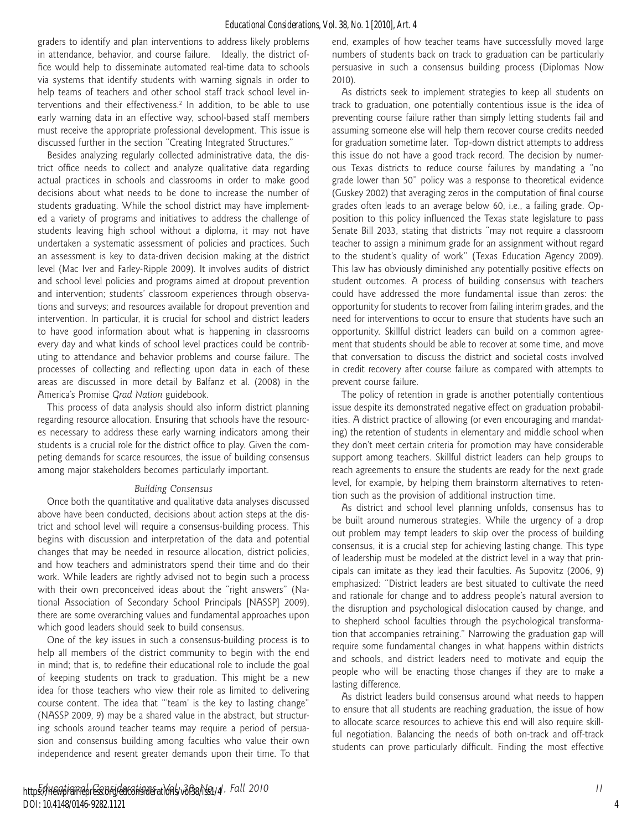graders to identify and plan interventions to address likely problems in attendance, behavior, and course failure. Ideally, the district office would help to disseminate automated real-time data to schools via systems that identify students with warning signals in order to help teams of teachers and other school staff track school level interventions and their effectiveness.<sup>2</sup> In addition, to be able to use early warning data in an effective way, school-based staff members must receive the appropriate professional development. This issue is discussed further in the section "Creating Integrated Structures."

Besides analyzing regularly collected administrative data, the district office needs to collect and analyze qualitative data regarding actual practices in schools and classrooms in order to make good decisions about what needs to be done to increase the number of students graduating. While the school district may have implemented a variety of programs and initiatives to address the challenge of students leaving high school without a diploma, it may not have undertaken a systematic assessment of policies and practices. Such an assessment is key to data-driven decision making at the district level (Mac Iver and Farley-Ripple 2009). It involves audits of district and school level policies and programs aimed at dropout prevention and intervention; students' classroom experiences through observations and surveys; and resources available for dropout prevention and intervention. In particular, it is crucial for school and district leaders to have good information about what is happening in classrooms every day and what kinds of school level practices could be contributing to attendance and behavior problems and course failure. The processes of collecting and reflecting upon data in each of these areas are discussed in more detail by Balfanz et al. (2008) in the America's Promise *Grad Nation* guidebook.

This process of data analysis should also inform district planning regarding resource allocation. Ensuring that schools have the resources necessary to address these early warning indicators among their students is a crucial role for the district office to play. Given the competing demands for scarce resources, the issue of building consensus among major stakeholders becomes particularly important.

#### *Building Consensus*

Once both the quantitative and qualitative data analyses discussed above have been conducted, decisions about action steps at the district and school level will require a consensus-building process. This begins with discussion and interpretation of the data and potential changes that may be needed in resource allocation, district policies, and how teachers and administrators spend their time and do their work. While leaders are rightly advised not to begin such a process with their own preconceived ideas about the "right answers" (National Association of Secondary School Principals [NASSP] 2009), there are some overarching values and fundamental approaches upon which good leaders should seek to build consensus.

One of the key issues in such a consensus-building process is to help all members of the district community to begin with the end in mind; that is, to redefine their educational role to include the goal of keeping students on track to graduation. This might be a new idea for those teachers who view their role as limited to delivering course content. The idea that "'team' is the key to lasting change" (NASSP 2009, 9) may be a shared value in the abstract, but structuring schools around teacher teams may require a period of persuasion and consensus building among faculties who value their own independence and resent greater demands upon their time. To that end, examples of how teacher teams have successfully moved large numbers of students back on track to graduation can be particularly persuasive in such a consensus building process (Diplomas Now 2010).

As districts seek to implement strategies to keep all students on track to graduation, one potentially contentious issue is the idea of preventing course failure rather than simply letting students fail and assuming someone else will help them recover course credits needed for graduation sometime later. Top-down district attempts to address this issue do not have a good track record. The decision by numerous Texas districts to reduce course failures by mandating a "no grade lower than 50" policy was a response to theoretical evidence (Guskey 2002) that averaging zeros in the computation of final course grades often leads to an average below 60, i.e., a failing grade. Opposition to this policy influenced the Texas state legislature to pass Senate Bill 2033, stating that districts "may not require a classroom teacher to assign a minimum grade for an assignment without regard to the student's quality of work" (Texas Education Agency 2009). This law has obviously diminished any potentially positive effects on student outcomes. A process of building consensus with teachers could have addressed the more fundamental issue than zeros: the opportunity for students to recover from failing interim grades, and the need for interventions to occur to ensure that students have such an opportunity. Skillful district leaders can build on a common agreement that students should be able to recover at some time, and move that conversation to discuss the district and societal costs involved in credit recovery after course failure as compared with attempts to prevent course failure.

The policy of retention in grade is another potentially contentious issue despite its demonstrated negative effect on graduation probabilities. A district practice of allowing (or even encouraging and mandating) the retention of students in elementary and middle school when they don't meet certain criteria for promotion may have considerable support among teachers. Skillful district leaders can help groups to reach agreements to ensure the students are ready for the next grade level, for example, by helping them brainstorm alternatives to retention such as the provision of additional instruction time.

As district and school level planning unfolds, consensus has to be built around numerous strategies. While the urgency of a drop out problem may tempt leaders to skip over the process of building consensus, it is a crucial step for achieving lasting change. This type of leadership must be modeled at the district level in a way that principals can imitate as they lead their faculties. As Supovitz (2006, 9) emphasized: "District leaders are best situated to cultivate the need and rationale for change and to address people's natural aversion to the disruption and psychological dislocation caused by change, and to shepherd school faculties through the psychological transformation that accompanies retraining." Narrowing the graduation gap will require some fundamental changes in what happens within districts and schools, and district leaders need to motivate and equip the people who will be enacting those changes if they are to make a lasting difference.

As district leaders build consensus around what needs to happen to ensure that all students are reaching graduation, the issue of how to allocate scarce resources to achieve this end will also require skillful negotiation. Balancing the needs of both on-track and off-track students can prove particularly difficult. Finding the most effective

4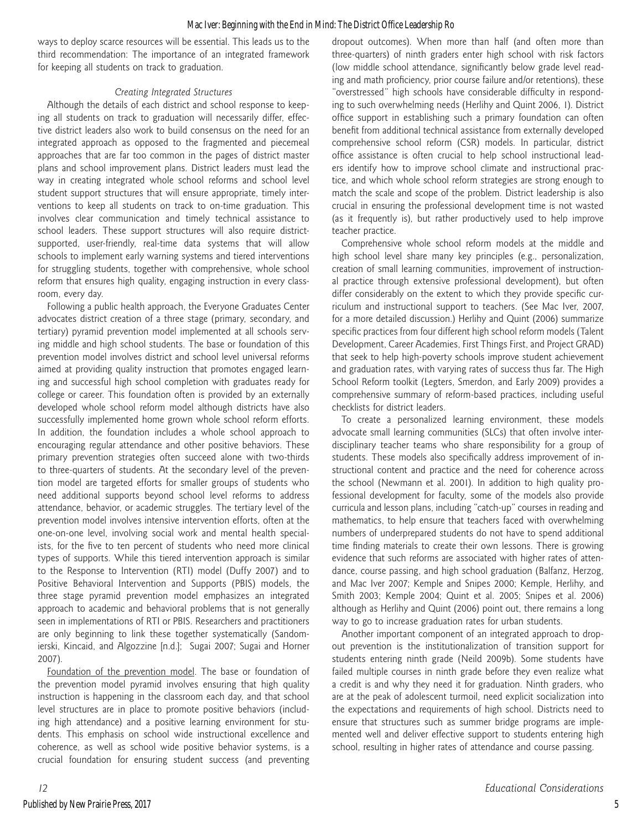ways to deploy scarce resources will be essential. This leads us to the third recommendation: The importance of an integrated framework for keeping all students on track to graduation.

# *Creating Integrated Structures*

Although the details of each district and school response to keeping all students on track to graduation will necessarily differ, effective district leaders also work to build consensus on the need for an integrated approach as opposed to the fragmented and piecemeal approaches that are far too common in the pages of district master plans and school improvement plans. District leaders must lead the way in creating integrated whole school reforms and school level student support structures that will ensure appropriate, timely interventions to keep all students on track to on-time graduation. This involves clear communication and timely technical assistance to school leaders. These support structures will also require districtsupported, user-friendly, real-time data systems that will allow schools to implement early warning systems and tiered interventions for struggling students, together with comprehensive, whole school reform that ensures high quality, engaging instruction in every classroom, every day.

Following a public health approach, the Everyone Graduates Center advocates district creation of a three stage (primary, secondary, and tertiary) pyramid prevention model implemented at all schools serving middle and high school students. The base or foundation of this prevention model involves district and school level universal reforms aimed at providing quality instruction that promotes engaged learning and successful high school completion with graduates ready for college or career. This foundation often is provided by an externally developed whole school reform model although districts have also successfully implemented home grown whole school reform efforts. In addition, the foundation includes a whole school approach to encouraging regular attendance and other positive behaviors. These primary prevention strategies often succeed alone with two-thirds to three-quarters of students. At the secondary level of the prevention model are targeted efforts for smaller groups of students who need additional supports beyond school level reforms to address attendance, behavior, or academic struggles. The tertiary level of the prevention model involves intensive intervention efforts, often at the one-on-one level, involving social work and mental health specialists, for the five to ten percent of students who need more clinical types of supports. While this tiered intervention approach is similar to the Response to Intervention (RTI) model (Duffy 2007) and to Positive Behavioral Intervention and Supports (PBIS) models, the three stage pyramid prevention model emphasizes an integrated approach to academic and behavioral problems that is not generally seen in implementations of RTI or PBIS. Researchers and practitioners are only beginning to link these together systematically (Sandomierski, Kincaid, and Algozzine [n.d.]; Sugai 2007; Sugai and Horner 2007).

Foundation of the prevention model. The base or foundation of the prevention model pyramid involves ensuring that high quality instruction is happening in the classroom each day, and that school level structures are in place to promote positive behaviors (including high attendance) and a positive learning environment for students. This emphasis on school wide instructional excellence and coherence, as well as school wide positive behavior systems, is a crucial foundation for ensuring student success (and preventing dropout outcomes). When more than half (and often more than three-quarters) of ninth graders enter high school with risk factors (low middle school attendance, significantly below grade level reading and math proficiency, prior course failure and/or retentions), these "overstressed" high schools have considerable difficulty in responding to such overwhelming needs (Herlihy and Quint 2006, 1). District office support in establishing such a primary foundation can often benefit from additional technical assistance from externally developed comprehensive school reform (CSR) models. In particular, district office assistance is often crucial to help school instructional leaders identify how to improve school climate and instructional practice, and which whole school reform strategies are strong enough to match the scale and scope of the problem. District leadership is also crucial in ensuring the professional development time is not wasted (as it frequently is), but rather productively used to help improve teacher practice.

Comprehensive whole school reform models at the middle and high school level share many key principles (e.g., personalization, creation of small learning communities, improvement of instructional practice through extensive professional development), but often differ considerably on the extent to which they provide specific curriculum and instructional support to teachers. (See Mac Iver, 2007, for a more detailed discussion.) Herlihy and Quint (2006) summarize specific practices from four different high school reform models (Talent Development, Career Academies, First Things First, and Project GRAD) that seek to help high-poverty schools improve student achievement and graduation rates, with varying rates of success thus far. The High School Reform toolkit (Legters, Smerdon, and Early 2009) provides a comprehensive summary of reform-based practices, including useful checklists for district leaders.

To create a personalized learning environment, these models advocate small learning communities (SLCs) that often involve interdisciplinary teacher teams who share responsibility for a group of students. These models also specifically address improvement of instructional content and practice and the need for coherence across the school (Newmann et al. 2001). In addition to high quality professional development for faculty, some of the models also provide curricula and lesson plans, including "catch-up" courses in reading and mathematics, to help ensure that teachers faced with overwhelming numbers of underprepared students do not have to spend additional time finding materials to create their own lessons. There is growing evidence that such reforms are associated with higher rates of attendance, course passing, and high school graduation (Balfanz, Herzog, and Mac Iver 2007; Kemple and Snipes 2000; Kemple, Herlihy, and Smith 2003; Kemple 2004; Quint et al. 2005; Snipes et al. 2006) although as Herlihy and Quint (2006) point out, there remains a long way to go to increase graduation rates for urban students.

Another important component of an integrated approach to dropout prevention is the institutionalization of transition support for students entering ninth grade (Neild 2009b). Some students have failed multiple courses in ninth grade before they even realize what a credit is and why they need it for graduation. Ninth graders, who are at the peak of adolescent turmoil, need explicit socialization into the expectations and requirements of high school. Districts need to ensure that structures such as summer bridge programs are implemented well and deliver effective support to students entering high school, resulting in higher rates of attendance and course passing.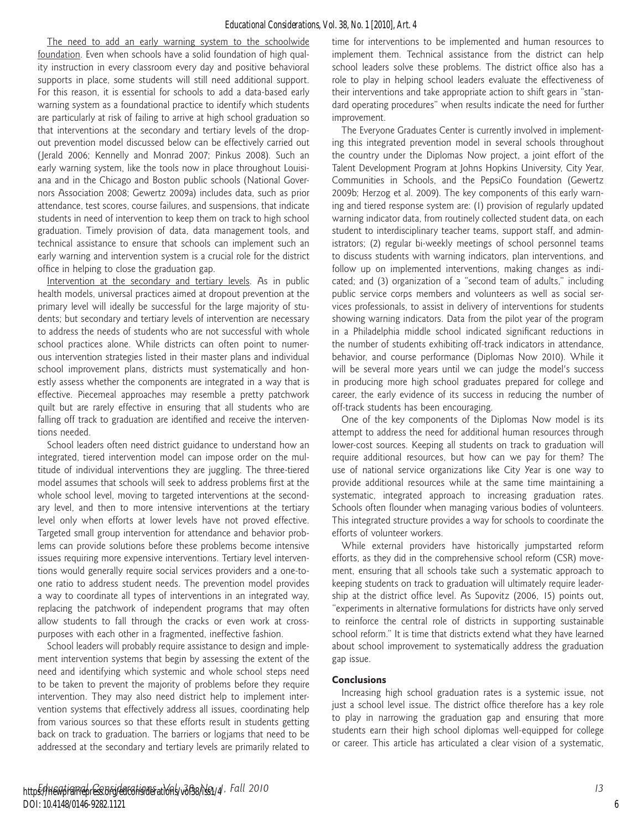The need to add an early warning system to the schoolwide foundation. Even when schools have a solid foundation of high quality instruction in every classroom every day and positive behavioral supports in place, some students will still need additional support. For this reason, it is essential for schools to add a data-based early warning system as a foundational practice to identify which students are particularly at risk of failing to arrive at high school graduation so that interventions at the secondary and tertiary levels of the dropout prevention model discussed below can be effectively carried out (Jerald 2006; Kennelly and Monrad 2007; Pinkus 2008). Such an early warning system, like the tools now in place throughout Louisiana and in the Chicago and Boston public schools (National Governors Association 2008; Gewertz 2009a) includes data, such as prior attendance, test scores, course failures, and suspensions, that indicate students in need of intervention to keep them on track to high school graduation. Timely provision of data, data management tools, and technical assistance to ensure that schools can implement such an early warning and intervention system is a crucial role for the district office in helping to close the graduation gap.

Intervention at the secondary and tertiary levels. As in public health models, universal practices aimed at dropout prevention at the primary level will ideally be successful for the large majority of students; but secondary and tertiary levels of intervention are necessary to address the needs of students who are not successful with whole school practices alone. While districts can often point to numerous intervention strategies listed in their master plans and individual school improvement plans, districts must systematically and honestly assess whether the components are integrated in a way that is effective. Piecemeal approaches may resemble a pretty patchwork quilt but are rarely effective in ensuring that all students who are falling off track to graduation are identified and receive the interventions needed.

School leaders often need district guidance to understand how an integrated, tiered intervention model can impose order on the multitude of individual interventions they are juggling. The three-tiered model assumes that schools will seek to address problems first at the whole school level, moving to targeted interventions at the secondary level, and then to more intensive interventions at the tertiary level only when efforts at lower levels have not proved effective. Targeted small group intervention for attendance and behavior problems can provide solutions before these problems become intensive issues requiring more expensive interventions. Tertiary level interventions would generally require social services providers and a one-toone ratio to address student needs. The prevention model provides a way to coordinate all types of interventions in an integrated way, replacing the patchwork of independent programs that may often allow students to fall through the cracks or even work at crosspurposes with each other in a fragmented, ineffective fashion.

School leaders will probably require assistance to design and implement intervention systems that begin by assessing the extent of the need and identifying which systemic and whole school steps need to be taken to prevent the majority of problems before they require intervention. They may also need district help to implement intervention systems that effectively address all issues, coordinating help from various sources so that these efforts result in students getting back on track to graduation. The barriers or logjams that need to be addressed at the secondary and tertiary levels are primarily related to

time for interventions to be implemented and human resources to implement them. Technical assistance from the district can help school leaders solve these problems. The district office also has a role to play in helping school leaders evaluate the effectiveness of their interventions and take appropriate action to shift gears in "standard operating procedures" when results indicate the need for further improvement.

The Everyone Graduates Center is currently involved in implementing this integrated prevention model in several schools throughout the country under the Diplomas Now project, a joint effort of the Talent Development Program at Johns Hopkins University, City Year, Communities in Schools, and the PepsiCo Foundation (Gewertz 2009b; Herzog et al. 2009). The key components of this early warning and tiered response system are: (1) provision of regularly updated warning indicator data, from routinely collected student data, on each student to interdisciplinary teacher teams, support staff, and administrators; (2) regular bi-weekly meetings of school personnel teams to discuss students with warning indicators, plan interventions, and follow up on implemented interventions, making changes as indicated; and (3) organization of a "second team of adults," including public service corps members and volunteers as well as social services professionals, to assist in delivery of interventions for students showing warning indicators. Data from the pilot year of the program in a Philadelphia middle school indicated significant reductions in the number of students exhibiting off-track indicators in attendance, behavior, and course performance (Diplomas Now 2010). While it will be several more years until we can judge the model's success in producing more high school graduates prepared for college and career, the early evidence of its success in reducing the number of off-track students has been encouraging.

One of the key components of the Diplomas Now model is its attempt to address the need for additional human resources through lower-cost sources. Keeping all students on track to graduation will require additional resources, but how can we pay for them? The use of national service organizations like City Year is one way to provide additional resources while at the same time maintaining a systematic, integrated approach to increasing graduation rates. Schools often flounder when managing various bodies of volunteers. This integrated structure provides a way for schools to coordinate the efforts of volunteer workers.

While external providers have historically jumpstarted reform efforts, as they did in the comprehensive school reform (CSR) movement, ensuring that all schools take such a systematic approach to keeping students on track to graduation will ultimately require leadership at the district office level. As Supovitz (2006, 15) points out, "experiments in alternative formulations for districts have only served to reinforce the central role of districts in supporting sustainable school reform." It is time that districts extend what they have learned about school improvement to systematically address the graduation gap issue.

# **Conclusions**

Increasing high school graduation rates is a systemic issue, not just a school level issue. The district office therefore has a key role to play in narrowing the graduation gap and ensuring that more students earn their high school diplomas well-equipped for college or career. This article has articulated a clear vision of a systematic,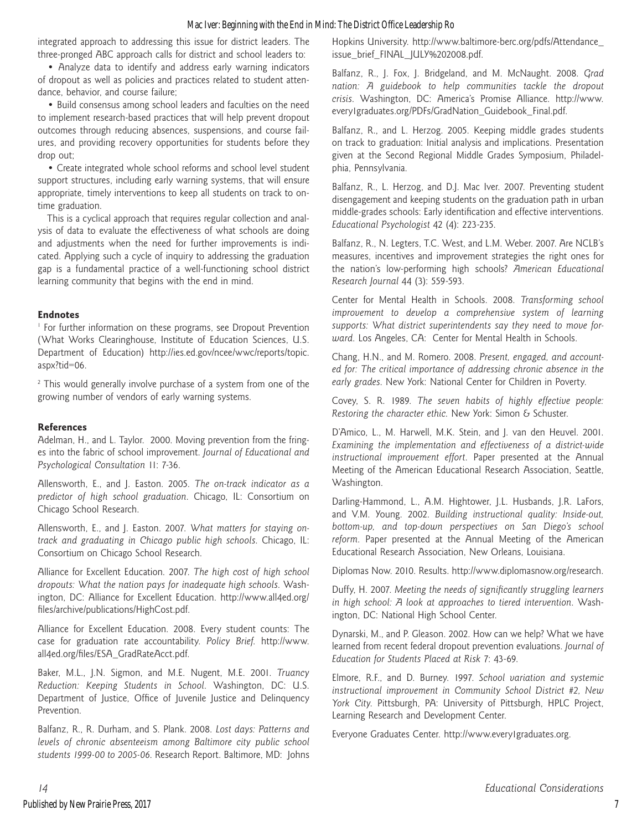# Mac Iver: Beginning with the End in Mind: The District Office Leadership Ro

integrated approach to addressing this issue for district leaders. The three-pronged ABC approach calls for district and school leaders to:

• Analyze data to identify and address early warning indicators of dropout as well as policies and practices related to student attendance, behavior, and course failure;

• Build consensus among school leaders and faculties on the need to implement research-based practices that will help prevent dropout outcomes through reducing absences, suspensions, and course failures, and providing recovery opportunities for students before they drop out;

• Create integrated whole school reforms and school level student support structures, including early warning systems, that will ensure appropriate, timely interventions to keep all students on track to ontime graduation.

This is a cyclical approach that requires regular collection and analysis of data to evaluate the effectiveness of what schools are doing and adjustments when the need for further improvements is indicated. Applying such a cycle of inquiry to addressing the graduation gap is a fundamental practice of a well-functioning school district learning community that begins with the end in mind.

# **Endnotes**

<sup>1</sup> For further information on these programs, see Dropout Prevention (What Works Clearinghouse, Institute of Education Sciences, U.S. Department of Education) http://ies.ed.gov/ncee/wwc/reports/topic. aspx?tid=06.<br><sup>2</sup> This would generally involve purchase of a system from one of the

growing number of vendors of early warning systems.

# **References**

Adelman, H., and L. Taylor. 2000. Moving prevention from the fringes into the fabric of school improvement. *Journal of Educational and Psychological Consultation* 11: 7-36.

Allensworth, E., and J. Easton. 2005. *The on-track indicator as a predictor of high school graduation*. Chicago, IL: Consortium on Chicago School Research.

Allensworth, E., and J. Easton. 2007. What matters for staying on*track and graduating in Chicago public high schools*. Chicago, IL: Consortium on Chicago School Research.

Alliance for Excellent Education. 2007. *The high cost of high school dropouts: What the nation pays for inadequate high schools*. Washington, DC: Alliance for Excellent Education. http://www.all4ed.org/ files/archive/publications/HighCost.pdf.

Alliance for Excellent Education. 2008. Every student counts: The case for graduation rate accountability. *Policy Brief*. http://www. all4ed.org/files/ESA\_GradRateAcct.pdf.

Baker, M.L., J.N. Sigmon, and M.E. Nugent, M.E. 2001. *Truancy Reduction: Keeping Students in School*. Washington, DC: U.S. Department of Justice, Office of Juvenile Justice and Delinquency Prevention.

Balfanz, R., R. Durham, and S. Plank. 2008. *Lost days: Patterns and levels of chronic absenteeism among Baltimore city public school students 1999-00 to 2005-06*. Research Report. Baltimore, MD: Johns

Hopkins University. http://www.baltimore-berc.org/pdfs/Attendance\_ issue\_brief\_FINAL\_JULY%202008.pdf.

Balfanz, R., J. Fox, J. Bridgeland, and M. McNaught. 2008. *Grad nation: A guidebook to help communities tackle the dropout crisis*. Washington, DC: America's Promise Alliance. http://www. every1graduates.org/PDFs/GradNation\_Guidebook\_Final.pdf.

Balfanz, R., and L. Herzog. 2005. Keeping middle grades students on track to graduation: Initial analysis and implications. Presentation given at the Second Regional Middle Grades Symposium, Philadelphia, Pennsylvania.

Balfanz, R., L. Herzog, and D.J. Mac Iver. 2007. Preventing student disengagement and keeping students on the graduation path in urban middle-grades schools: Early identification and effective interventions. *Educational Psychologist* 42 (4): 223-235.

Balfanz, R., N. Legters, T.C. West, and L.M. Weber. 2007. Are NCLB's measures, incentives and improvement strategies the right ones for the nation's low-performing high schools? *American Educational Research Journal* 44 (3): 559-593.

Center for Mental Health in Schools. 2008. *Transforming school improvement to develop a comprehensive system of learning supports: What district superintendents say they need to move forward*. Los Angeles, CA: Center for Mental Health in Schools.

Chang, H.N., and M. Romero. 2008. *Present, engaged, and accounted for: The critical importance of addressing chronic absence in the early grades*. New York: National Center for Children in Poverty.

Covey, S. R. 1989. *The seven habits of highly effective people: Restoring the character ethic*. New York: Simon & Schuster.

D'Amico, L., M. Harwell, M.K. Stein, and J. van den Heuvel. 2001. *Examining the implementation and effectiveness of a district-wide instructional improvement effort*. Paper presented at the Annual Meeting of the American Educational Research Association, Seattle, Washington.

Darling-Hammond, L., A.M. Hightower, J.L. Husbands, J.R. LaFors, and V.M. Young. 2002. *Building instructional quality: Inside-out, bottom-up, and top-down perspectives on San Diego's school reform*. Paper presented at the Annual Meeting of the American Educational Research Association, New Orleans, Louisiana.

Diplomas Now. 2010. Results. http://www.diplomasnow.org/research.

Duffy, H. 2007. *Meeting the needs of significantly struggling learners in high school: A look at approaches to tiered intervention*. Washington, DC: National High School Center.

Dynarski, M., and P. Gleason. 2002. How can we help? What we have learned from recent federal dropout prevention evaluations. *Journal of Education for Students Placed at Risk* 7: 43-69.

Elmore, R.F., and D. Burney. 1997. *School variation and systemic instructional improvement in Community School District #2, New York City*. Pittsburgh, PA: University of Pittsburgh, HPLC Project, Learning Research and Development Center.

Everyone Graduates Center. http://www.every1graduates.org.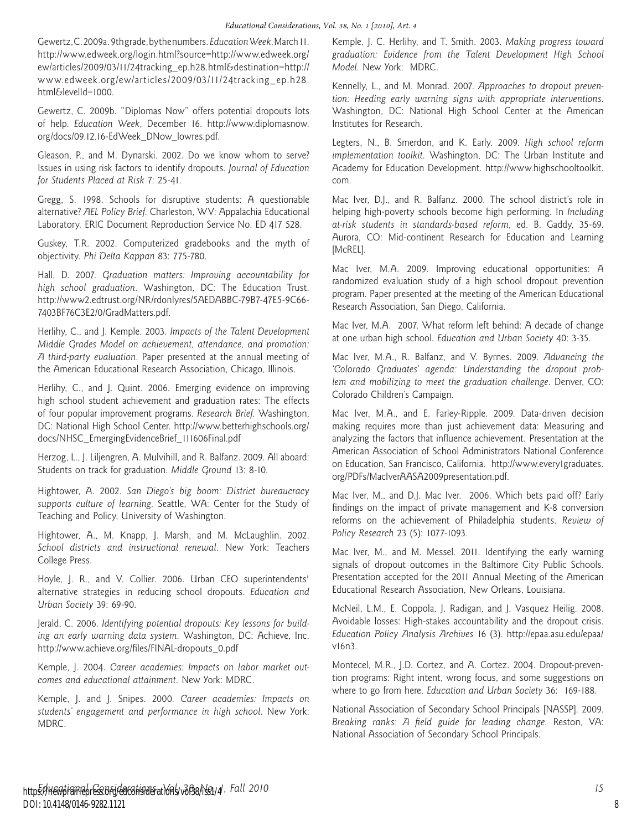Gewertz, C. 2009a. 9th grade, by the numbers. *Education Week*, March 11. http://www.edweek.org/login.html?source=http://www.edweek.org/ ew/articles/2009/03/11/24tracking\_ep.h28.html&destination=http:// www.edweek.org/ew/articles/2009/03/11/24tracking\_ep.h28. html&levelId=1000.

Gewertz, C. 2009b. "Diplomas Now" offers potential dropouts lots of help. *Education Week*, December 16. http://www.diplomasnow. org/docs/09.12.16-EdWeek\_DNow\_lowres.pdf.

Gleason, P., and M. Dynarski. 2002. Do we know whom to serve? Issues in using risk factors to identify dropouts. *Journal of Education for Students Placed at Risk* 7: 25-41.

Gregg, S. 1998. Schools for disruptive students: A questionable alternative? *AEL Policy Brief*. Charleston, WV: Appalachia Educational Laboratory. ERIC Document Reproduction Service No. ED 417 528.

Guskey, T.R. 2002. Computerized gradebooks and the myth of objectivity. *Phi Delta Kappan* 83: 775-780.

Hall, D. 2007. *Graduation matters: Improving accountability for high school graduation*. Washington, DC: The Education Trust. http://www2.edtrust.org/NR/rdonlyres/5AEDABBC-79B7-47E5-9C66- 7403BF76C3E2/0/GradMatters.pdf.

Herlihy, C., and J. Kemple. 2003. *Impacts of the Talent Development Middle Grades Model on achievement, attendance, and promotion: A third-party evaluation*. Paper presented at the annual meeting of the American Educational Research Association, Chicago, Illinois.

Herlihy, C., and J. Quint. 2006. Emerging evidence on improving high school student achievement and graduation rates: The effects of four popular improvement programs. *Research Brief*. Washington, DC: National High School Center. http://www.betterhighschools.org/ docs/NHSC\_EmergingEvidenceBrief\_111606Final.pdf

Herzog, L., J. Liljengren, A. Mulvihill, and R. Balfanz. 2009. All aboard: Students on track for graduation. *Middle Ground* 13: 8-10.

Hightower, A. 2002. *San Diego's big boom: District bureaucracy supports culture of learning*. Seattle, WA: Center for the Study of Teaching and Policy, University of Washington.

Hightower, A., M. Knapp, J. Marsh, and M. McLaughlin. 2002. *School districts and instructional renewal*. New York: Teachers College Press.

Hoyle, J. R., and V. Collier. 2006. Urban CEO superintendents' alternative strategies in reducing school dropouts. *Education and Urban Society* 39: 69-90.

Jerald, C. 2006. *Identifying potential dropouts: Key lessons for building an early warning data system*. Washington, DC: Achieve, Inc. http://www.achieve.org/files/FINAL-dropouts\_0.pdf

Kemple, J. 2004. *Career academies: Impacts on labor market outcomes and educational attainment*. New York: MDRC.

Kemple, J. and J. Snipes. 2000. *Career academies: Impacts on students' engagement and performance in high school*. New York: MDRC.

Kemple, J. C. Herlihy, and T. Smith. 2003. *Making progress toward graduation: Evidence from the Talent Development High School Model*. New York: MDRC.

Kennelly, L., and M. Monrad. 2007. *Approaches to dropout prevention: Heeding early warning signs with appropriate interventions*. Washington, DC: National High School Center at the American Institutes for Research.

Legters, N., B. Smerdon, and K. Early. 2009. *High school reform implementation toolkit*. Washington, DC: The Urban Institute and Academy for Education Development. http://www.highschooltoolkit. com.

Mac Iver, D.J., and R. Balfanz. 2000. The school district's role in helping high-poverty schools become high performing. In *Including at-risk students in standards-based reform*, ed. B. Gaddy, 35-69. Aurora, CO: Mid-continent Research for Education and Learning [McREL].

Mac Iver, M.A. 2009. Improving educational opportunities: A randomized evaluation study of a high school dropout prevention program. Paper presented at the meeting of the American Educational Research Association, San Diego, California.

Mac Iver, M.A. 2007. What reform left behind: A decade of change at one urban high school. *Education and Urban Society* 40: 3-35.

Mac Iver, M.A., R. Balfanz, and V. Byrnes. 2009. *Advancing the 'Colorado Graduates' agenda: Understanding the dropout problem and mobilizing to meet the graduation challenge*. Denver, CO: Colorado Children's Campaign.

Mac Iver, M.A., and E. Farley-Ripple. 2009. Data-driven decision making requires more than just achievement data: Measuring and analyzing the factors that influence achievement. Presentation at the American Association of School Administrators National Conference on Education, San Francisco, California. http://www.every1graduates. org/PDFs/MacIverAASA2009presentation.pdf.

Mac Iver, M., and D.J. Mac Iver. 2006. Which bets paid off? Early findings on the impact of private management and K-8 conversion reforms on the achievement of Philadelphia students. *Review of Policy Research* 23 (5): 1077-1093.

Mac Iver, M., and M. Messel. 2011. Identifying the early warning signals of dropout outcomes in the Baltimore City Public Schools. Presentation accepted for the 2011 Annual Meeting of the American Educational Research Association, New Orleans, Louisiana.

McNeil, L.M., E. Coppola, J. Radigan, and J. Vasquez Heilig. 2008. Avoidable losses: High-stakes accountability and the dropout crisis. *Education Policy Analysis Archives* 16 (3). http://epaa.asu.edu/epaa/ v16n3.

Montecel, M.R., J.D. Cortez, and A. Cortez. 2004. Dropout-prevention programs: Right intent, wrong focus, and some suggestions on where to go from here. *Education and Urban Society* 36: 169-188.

National Association of Secondary School Principals [NASSP]. 2009. *Breaking ranks: A field guide for leading change*. Reston, VA: National Association of Secondary School Principals.

8